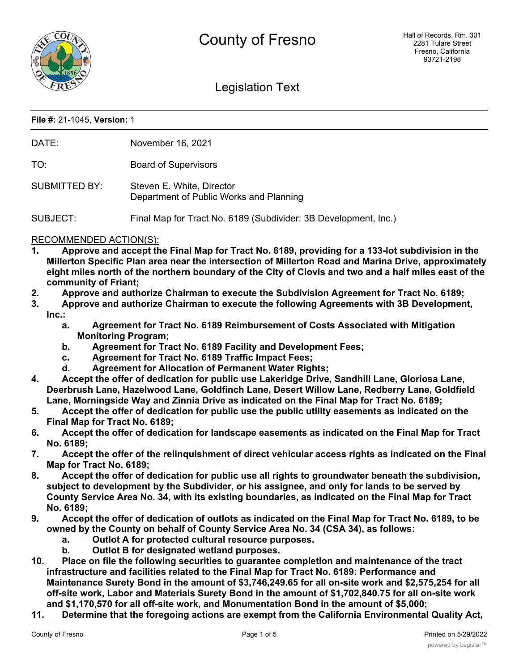

# Legislation Text

#### **File #:** 21-1045, **Version:** 1

| DATE: | November 16, 2021 |
|-------|-------------------|
|       |                   |

TO: Board of Supervisors

SUBMITTED BY: Steven E. White, Director Department of Public Works and Planning

SUBJECT: Final Map for Tract No. 6189 (Subdivider: 3B Development, Inc.)

#### RECOMMENDED ACTION(S):

- **1. Approve and accept the Final Map for Tract No. 6189, providing for a 133-lot subdivision in the Millerton Specific Plan area near the intersection of Millerton Road and Marina Drive, approximately eight miles north of the northern boundary of the City of Clovis and two and a half miles east of the community of Friant;**
- **2. Approve and authorize Chairman to execute the Subdivision Agreement for Tract No. 6189;**
- **3. Approve and authorize Chairman to execute the following Agreements with 3B Development, Inc.:**
	- **a. Agreement for Tract No. 6189 Reimbursement of Costs Associated with Mitigation Monitoring Program;**
	- **b. Agreement for Tract No. 6189 Facility and Development Fees;**
	- **c. Agreement for Tract No. 6189 Traffic Impact Fees;**
	- **d. Agreement for Allocation of Permanent Water Rights;**
- **4. Accept the offer of dedication for public use Lakeridge Drive, Sandhill Lane, Gloriosa Lane, Deerbrush Lane, Hazelwood Lane, Goldfinch Lane, Desert Willow Lane, Redberry Lane, Goldfield Lane, Morningside Way and Zinnia Drive as indicated on the Final Map for Tract No. 6189;**
- **5. Accept the offer of dedication for public use the public utility easements as indicated on the Final Map for Tract No. 6189;**
- **6. Accept the offer of dedication for landscape easements as indicated on the Final Map for Tract No. 6189;**
- **7. Accept the offer of the relinquishment of direct vehicular access rights as indicated on the Final Map for Tract No. 6189;**
- **8. Accept the offer of dedication for public use all rights to groundwater beneath the subdivision, subject to development by the Subdivider, or his assignee, and only for lands to be served by County Service Area No. 34, with its existing boundaries, as indicated on the Final Map for Tract No. 6189;**
- **9. Accept the offer of dedication of outlots as indicated on the Final Map for Tract No. 6189, to be owned by the County on behalf of County Service Area No. 34 (CSA 34), as follows:**
	- **a. Outlot A for protected cultural resource purposes.**
	- **b. Outlot B for designated wetland purposes.**
- **10. Place on file the following securities to guarantee completion and maintenance of the tract infrastructure and facilities related to the Final Map for Tract No. 6189: Performance and Maintenance Surety Bond in the amount of \$3,746,249.65 for all on-site work and \$2,575,254 for all off-site work, Labor and Materials Surety Bond in the amount of \$1,702,840.75 for all on-site work and \$1,170,570 for all off-site work, and Monumentation Bond in the amount of \$5,000;**
- **11. Determine that the foregoing actions are exempt from the California Environmental Quality Act,**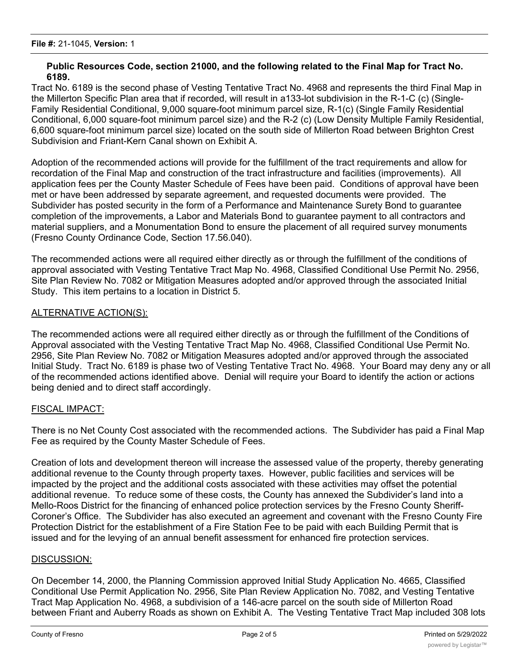#### **Public Resources Code, section 21000, and the following related to the Final Map for Tract No. 6189.**

Tract No. 6189 is the second phase of Vesting Tentative Tract No. 4968 and represents the third Final Map in the Millerton Specific Plan area that if recorded, will result in a133-lot subdivision in the R-1-C (c) (Single-Family Residential Conditional, 9,000 square-foot minimum parcel size, R-1(c) (Single Family Residential Conditional, 6,000 square-foot minimum parcel size) and the R-2 (c) (Low Density Multiple Family Residential, 6,600 square-foot minimum parcel size) located on the south side of Millerton Road between Brighton Crest Subdivision and Friant-Kern Canal shown on Exhibit A.

Adoption of the recommended actions will provide for the fulfillment of the tract requirements and allow for recordation of the Final Map and construction of the tract infrastructure and facilities (improvements). All application fees per the County Master Schedule of Fees have been paid. Conditions of approval have been met or have been addressed by separate agreement, and requested documents were provided. The Subdivider has posted security in the form of a Performance and Maintenance Surety Bond to guarantee completion of the improvements, a Labor and Materials Bond to guarantee payment to all contractors and material suppliers, and a Monumentation Bond to ensure the placement of all required survey monuments (Fresno County Ordinance Code, Section 17.56.040).

The recommended actions were all required either directly as or through the fulfillment of the conditions of approval associated with Vesting Tentative Tract Map No. 4968, Classified Conditional Use Permit No. 2956, Site Plan Review No. 7082 or Mitigation Measures adopted and/or approved through the associated Initial Study. This item pertains to a location in District 5.

## ALTERNATIVE ACTION(S):

The recommended actions were all required either directly as or through the fulfillment of the Conditions of Approval associated with the Vesting Tentative Tract Map No. 4968, Classified Conditional Use Permit No. 2956, Site Plan Review No. 7082 or Mitigation Measures adopted and/or approved through the associated Initial Study. Tract No. 6189 is phase two of Vesting Tentative Tract No. 4968. Your Board may deny any or all of the recommended actions identified above. Denial will require your Board to identify the action or actions being denied and to direct staff accordingly.

## FISCAL IMPACT:

There is no Net County Cost associated with the recommended actions. The Subdivider has paid a Final Map Fee as required by the County Master Schedule of Fees.

Creation of lots and development thereon will increase the assessed value of the property, thereby generating additional revenue to the County through property taxes. However, public facilities and services will be impacted by the project and the additional costs associated with these activities may offset the potential additional revenue. To reduce some of these costs, the County has annexed the Subdivider's land into a Mello-Roos District for the financing of enhanced police protection services by the Fresno County Sheriff-Coroner's Office. The Subdivider has also executed an agreement and covenant with the Fresno County Fire Protection District for the establishment of a Fire Station Fee to be paid with each Building Permit that is issued and for the levying of an annual benefit assessment for enhanced fire protection services.

#### DISCUSSION:

On December 14, 2000, the Planning Commission approved Initial Study Application No. 4665, Classified Conditional Use Permit Application No. 2956, Site Plan Review Application No. 7082, and Vesting Tentative Tract Map Application No. 4968, a subdivision of a 146-acre parcel on the south side of Millerton Road between Friant and Auberry Roads as shown on Exhibit A. The Vesting Tentative Tract Map included 308 lots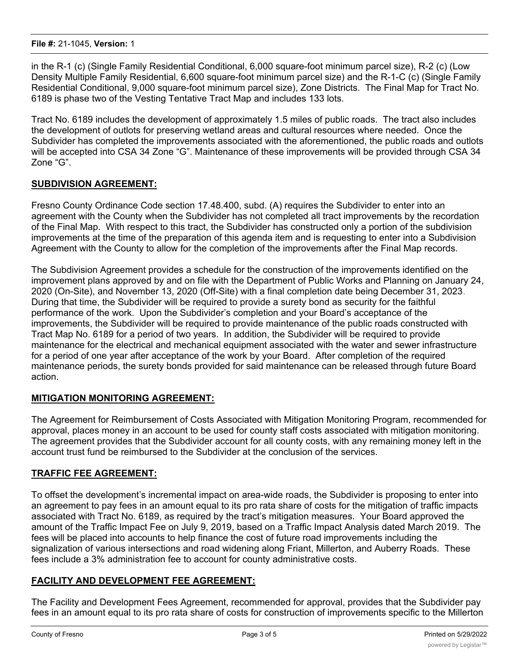in the R-1 (c) (Single Family Residential Conditional, 6,000 square-foot minimum parcel size), R-2 (c) (Low Density Multiple Family Residential, 6,600 square-foot minimum parcel size) and the R-1-C (c) (Single Family Residential Conditional, 9,000 square-foot minimum parcel size), Zone Districts. The Final Map for Tract No. 6189 is phase two of the Vesting Tentative Tract Map and includes 133 lots.

Tract No. 6189 includes the development of approximately 1.5 miles of public roads. The tract also includes the development of outlots for preserving wetland areas and cultural resources where needed. Once the Subdivider has completed the improvements associated with the aforementioned, the public roads and outlots will be accepted into CSA 34 Zone "G". Maintenance of these improvements will be provided through CSA 34 Zone "G".

# **SUBDIVISION AGREEMENT:**

Fresno County Ordinance Code section 17.48.400, subd. (A) requires the Subdivider to enter into an agreement with the County when the Subdivider has not completed all tract improvements by the recordation of the Final Map. With respect to this tract, the Subdivider has constructed only a portion of the subdivision improvements at the time of the preparation of this agenda item and is requesting to enter into a Subdivision Agreement with the County to allow for the completion of the improvements after the Final Map records.

The Subdivision Agreement provides a schedule for the construction of the improvements identified on the improvement plans approved by and on file with the Department of Public Works and Planning on January 24, 2020 (On-Site), and November 13, 2020 (Off-Site) with a final completion date being December 31, 2023. During that time, the Subdivider will be required to provide a surety bond as security for the faithful performance of the work. Upon the Subdivider's completion and your Board's acceptance of the improvements, the Subdivider will be required to provide maintenance of the public roads constructed with Tract Map No. 6189 for a period of two years. In addition, the Subdivider will be required to provide maintenance for the electrical and mechanical equipment associated with the water and sewer infrastructure for a period of one year after acceptance of the work by your Board. After completion of the required maintenance periods, the surety bonds provided for said maintenance can be released through future Board action.

## **MITIGATION MONITORING AGREEMENT:**

The Agreement for Reimbursement of Costs Associated with Mitigation Monitoring Program, recommended for approval, places money in an account to be used for county staff costs associated with mitigation monitoring. The agreement provides that the Subdivider account for all county costs, with any remaining money left in the account trust fund be reimbursed to the Subdivider at the conclusion of the services.

## **TRAFFIC FEE AGREEMENT:**

To offset the development's incremental impact on area-wide roads, the Subdivider is proposing to enter into an agreement to pay fees in an amount equal to its pro rata share of costs for the mitigation of traffic impacts associated with Tract No. 6189, as required by the tract's mitigation measures. Your Board approved the amount of the Traffic Impact Fee on July 9, 2019, based on a Traffic Impact Analysis dated March 2019. The fees will be placed into accounts to help finance the cost of future road improvements including the signalization of various intersections and road widening along Friant, Millerton, and Auberry Roads. These fees include a 3% administration fee to account for county administrative costs.

## **FACILITY AND DEVELOPMENT FEE AGREEMENT:**

The Facility and Development Fees Agreement, recommended for approval, provides that the Subdivider pay fees in an amount equal to its pro rata share of costs for construction of improvements specific to the Millerton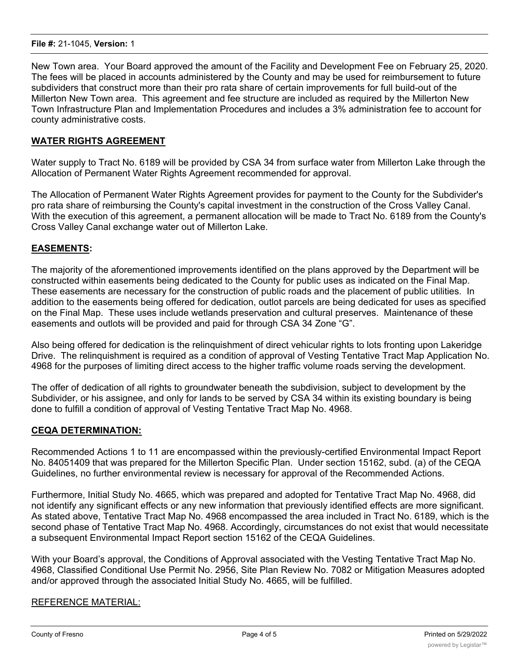New Town area. Your Board approved the amount of the Facility and Development Fee on February 25, 2020. The fees will be placed in accounts administered by the County and may be used for reimbursement to future subdividers that construct more than their pro rata share of certain improvements for full build-out of the Millerton New Town area. This agreement and fee structure are included as required by the Millerton New Town Infrastructure Plan and Implementation Procedures and includes a 3% administration fee to account for county administrative costs.

## **WATER RIGHTS AGREEMENT**

Water supply to Tract No. 6189 will be provided by CSA 34 from surface water from Millerton Lake through the Allocation of Permanent Water Rights Agreement recommended for approval.

The Allocation of Permanent Water Rights Agreement provides for payment to the County for the Subdivider's pro rata share of reimbursing the County's capital investment in the construction of the Cross Valley Canal. With the execution of this agreement, a permanent allocation will be made to Tract No. 6189 from the County's Cross Valley Canal exchange water out of Millerton Lake.

# **EASEMENTS:**

The majority of the aforementioned improvements identified on the plans approved by the Department will be constructed within easements being dedicated to the County for public uses as indicated on the Final Map. These easements are necessary for the construction of public roads and the placement of public utilities. In addition to the easements being offered for dedication, outlot parcels are being dedicated for uses as specified on the Final Map. These uses include wetlands preservation and cultural preserves. Maintenance of these easements and outlots will be provided and paid for through CSA 34 Zone "G".

Also being offered for dedication is the relinquishment of direct vehicular rights to lots fronting upon Lakeridge Drive. The relinquishment is required as a condition of approval of Vesting Tentative Tract Map Application No. 4968 for the purposes of limiting direct access to the higher traffic volume roads serving the development.

The offer of dedication of all rights to groundwater beneath the subdivision, subject to development by the Subdivider, or his assignee, and only for lands to be served by CSA 34 within its existing boundary is being done to fulfill a condition of approval of Vesting Tentative Tract Map No. 4968.

## **CEQA DETERMINATION:**

Recommended Actions 1 to 11 are encompassed within the previously-certified Environmental Impact Report No. 84051409 that was prepared for the Millerton Specific Plan. Under section 15162, subd. (a) of the CEQA Guidelines, no further environmental review is necessary for approval of the Recommended Actions.

Furthermore, Initial Study No. 4665, which was prepared and adopted for Tentative Tract Map No. 4968, did not identify any significant effects or any new information that previously identified effects are more significant. As stated above, Tentative Tract Map No. 4968 encompassed the area included in Tract No. 6189, which is the second phase of Tentative Tract Map No. 4968. Accordingly, circumstances do not exist that would necessitate a subsequent Environmental Impact Report section 15162 of the CEQA Guidelines.

With your Board's approval, the Conditions of Approval associated with the Vesting Tentative Tract Map No. 4968, Classified Conditional Use Permit No. 2956, Site Plan Review No. 7082 or Mitigation Measures adopted and/or approved through the associated Initial Study No. 4665, will be fulfilled.

## REFERENCE MATERIAL: